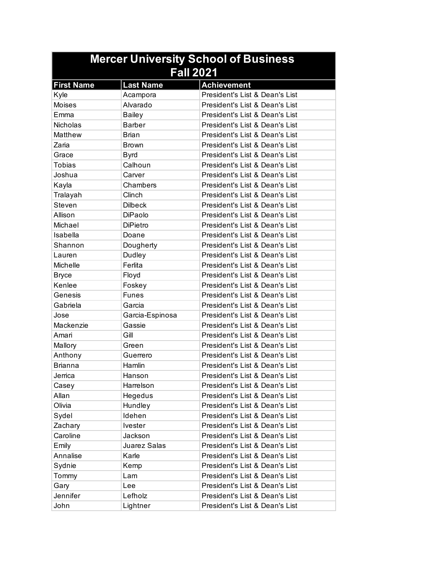| <b>Mercer University School of Business</b> |                  |                                |  |
|---------------------------------------------|------------------|--------------------------------|--|
| <b>Fall 2021</b>                            |                  |                                |  |
| <b>First Name</b>                           | <b>Last Name</b> | <b>Achievement</b>             |  |
| Kyle                                        | Acampora         | President's List & Dean's List |  |
| <b>Moises</b>                               | Alvarado         | President's List & Dean's List |  |
| Emma                                        | <b>Bailey</b>    | President's List & Dean's List |  |
| <b>Nicholas</b>                             | <b>Barber</b>    | President's List & Dean's List |  |
| Matthew                                     | <b>Brian</b>     | President's List & Dean's List |  |
| Zaria                                       | <b>Brown</b>     | President's List & Dean's List |  |
| Grace                                       | <b>Byrd</b>      | President's List & Dean's List |  |
| <b>Tobias</b>                               | Calhoun          | President's List & Dean's List |  |
| Joshua                                      | Carver           | President's List & Dean's List |  |
| Kayla                                       | Chambers         | President's List & Dean's List |  |
| Tralayah                                    | Clinch           | President's List & Dean's List |  |
| Steven                                      | <b>Dilbeck</b>   | President's List & Dean's List |  |
| Allison                                     | DiPaolo          | President's List & Dean's List |  |
| Michael                                     | <b>DiPietro</b>  | President's List & Dean's List |  |
| Isabella                                    | Doane            | President's List & Dean's List |  |
| Shannon                                     | Dougherty        | President's List & Dean's List |  |
| Lauren                                      | Dudley           | President's List & Dean's List |  |
| Michelle                                    | Ferlita          | President's List & Dean's List |  |
| <b>Bryce</b>                                | Floyd            | President's List & Dean's List |  |
| Kenlee                                      | Foskey           | President's List & Dean's List |  |
| Genesis                                     | <b>Funes</b>     | President's List & Dean's List |  |
| Gabriela                                    | Garcia           | President's List & Dean's List |  |
| Jose                                        | Garcia-Espinosa  | President's List & Dean's List |  |
| Mackenzie                                   | Gassie           | President's List & Dean's List |  |
| Amari                                       | Gill             | President's List & Dean's List |  |
| Mallory                                     | Green            | President's List & Dean's List |  |
| Anthony                                     | Guerrero         | President's List & Dean's List |  |
| <b>Brianna</b>                              | Hamlin           | President's List & Dean's List |  |
| Jerrica                                     | Hanson           | President's List & Dean's List |  |
| Casey                                       | Harrelson        | President's List & Dean's List |  |
| Allan                                       | Hegedus          | President's List & Dean's List |  |
| Olivia                                      | Hundley          | President's List & Dean's List |  |
| Sydel                                       | Idehen           | President's List & Dean's List |  |
| Zachary                                     | Ivester          | President's List & Dean's List |  |
| Caroline                                    | Jackson          | President's List & Dean's List |  |
| Emily                                       | Juarez Salas     | President's List & Dean's List |  |
| Annalise                                    | Karle            | President's List & Dean's List |  |
| Sydnie                                      | Kemp             | President's List & Dean's List |  |
| Tommy                                       | Lam              | President's List & Dean's List |  |
| Gary                                        | Lee              | President's List & Dean's List |  |
| Jennifer                                    | Lefholz          | President's List & Dean's List |  |
| John                                        | Lightner         | President's List & Dean's List |  |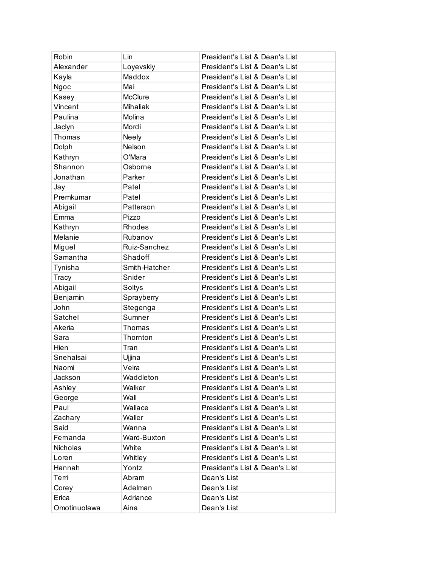| Robin        | Lin            | President's List & Dean's List |
|--------------|----------------|--------------------------------|
| Alexander    | Loyevskiy      | President's List & Dean's List |
| Kayla        | Maddox         | President's List & Dean's List |
| Ngoc         | Mai            | President's List & Dean's List |
| Kasey        | <b>McClure</b> | President's List & Dean's List |
| Vincent      | Mihaliak       | President's List & Dean's List |
| Paulina      | Molina         | President's List & Dean's List |
| Jaclyn       | Mordi          | President's List & Dean's List |
| Thomas       | <b>Neely</b>   | President's List & Dean's List |
| Dolph        | Nelson         | President's List & Dean's List |
| Kathryn      | O'Mara         | President's List & Dean's List |
| Shannon      | Osborne        | President's List & Dean's List |
| Jonathan     | Parker         | President's List & Dean's List |
| Jay          | Patel          | President's List & Dean's List |
| Premkumar    | Patel          | President's List & Dean's List |
| Abigail      | Patterson      | President's List & Dean's List |
| Emma         | Pizzo          | President's List & Dean's List |
| Kathryn      | Rhodes         | President's List & Dean's List |
| Melanie      | Rubanov        | President's List & Dean's List |
| Miguel       | Ruiz-Sanchez   | President's List & Dean's List |
| Samantha     | Shadoff        | President's List & Dean's List |
| Tynisha      | Smith-Hatcher  | President's List & Dean's List |
| Tracy        | Snider         | President's List & Dean's List |
| Abigail      | Soltys         | President's List & Dean's List |
| Benjamin     | Sprayberry     | President's List & Dean's List |
| John         | Stegenga       | President's List & Dean's List |
| Satchel      | Sumner         | President's List & Dean's List |
| Akeria       | Thomas         | President's List & Dean's List |
| Sara         | Thornton       | President's List & Dean's List |
| Hien         | Tran           | President's List & Dean's List |
| Snehalsai    | Ujjina         | President's List & Dean's List |
| Naomi        | Veira          | President's List & Dean's List |
| Jackson      | Waddleton      | President's List & Dean's List |
| Ashley       | Walker         | President's List & Dean's List |
| George       | Wall           | President's List & Dean's List |
| Paul         | Wallace        | President's List & Dean's List |
| Zachary      | Waller         | President's List & Dean's List |
| Said         | Wanna          | President's List & Dean's List |
| Fernanda     | Ward-Buxton    | President's List & Dean's List |
| Nicholas     | White          | President's List & Dean's List |
| Loren        | Whitley        | President's List & Dean's List |
| Hannah       | Yontz          | President's List & Dean's List |
| Terri        | Abram          | Dean's List                    |
| Corey        | Adelman        | Dean's List                    |
| Erica        | Adriance       | Dean's List                    |
| Omotinuolawa | Aina           | Dean's List                    |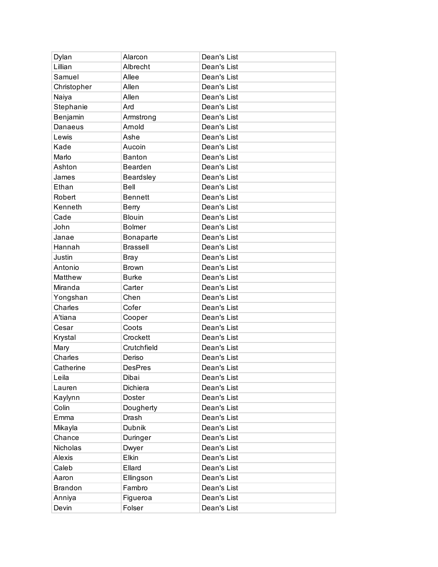| Dylan          | Alarcon          | Dean's List |
|----------------|------------------|-------------|
| Lillian        | Albrecht         | Dean's List |
| Samuel         | Allee            | Dean's List |
| Christopher    | Allen            | Dean's List |
| Naiya          | Allen            | Dean's List |
| Stephanie      | Ard              | Dean's List |
| Benjamin       | Armstrong        | Dean's List |
| Danaeus        | Arnold           | Dean's List |
| Lewis          | Ashe             | Dean's List |
| Kade           | Aucoin           | Dean's List |
| Marlo          | <b>Banton</b>    | Dean's List |
| Ashton         | Bearden          | Dean's List |
| James          | <b>Beardsley</b> | Dean's List |
| Ethan          | Bell             | Dean's List |
| Robert         | <b>Bennett</b>   | Dean's List |
| Kenneth        | Berry            | Dean's List |
| Cade           | <b>Blouin</b>    | Dean's List |
| John           | <b>Bolmer</b>    | Dean's List |
| Janae          | Bonaparte        | Dean's List |
| Hannah         | <b>Brassell</b>  | Dean's List |
| Justin         | <b>Bray</b>      | Dean's List |
| Antonio        | <b>Brown</b>     | Dean's List |
| Matthew        | <b>Burke</b>     | Dean's List |
| Miranda        | Carter           | Dean's List |
| Yongshan       | Chen             | Dean's List |
| Charles        | Cofer            | Dean's List |
| A'tiana        | Cooper           | Dean's List |
| Cesar          | Coots            | Dean's List |
| Krystal        | Crockett         | Dean's List |
| Mary           | Crutchfield      | Dean's List |
| Charles        | Deriso           | Dean's List |
| Catherine      | <b>DesPres</b>   | Dean's List |
| Leila          | Dibai            | Dean's List |
| Lauren         | Dichiera         | Dean's List |
| Kaylynn        | Doster           | Dean's List |
| Colin          | Dougherty        | Dean's List |
| Emma           | Drash            | Dean's List |
| Mikayla        | <b>Dubnik</b>    | Dean's List |
| Chance         | Duringer         | Dean's List |
| Nicholas       | Dwyer            | Dean's List |
| Alexis         | Elkin            | Dean's List |
| Caleb          | Ellard           | Dean's List |
| Aaron          | Ellingson        | Dean's List |
| <b>Brandon</b> | Fambro           | Dean's List |
| Anniya         | Figueroa         | Dean's List |
| Devin          | Folser           | Dean's List |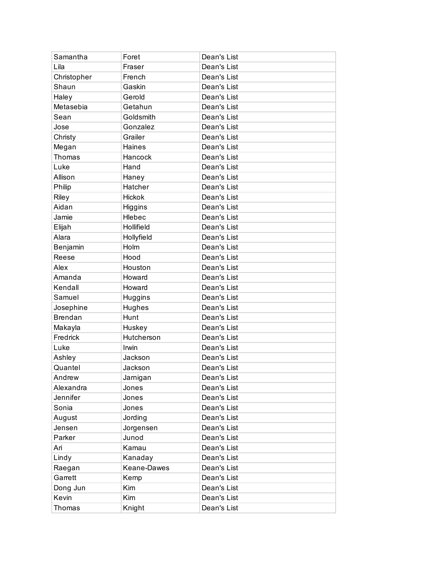| Samantha       | Foret         | Dean's List |
|----------------|---------------|-------------|
| Lila           | Fraser        | Dean's List |
| Christopher    | French        | Dean's List |
| Shaun          | Gaskin        | Dean's List |
| Haley          | Gerold        | Dean's List |
| Metasebia      | Getahun       | Dean's List |
| Sean           | Goldsmith     | Dean's List |
| Jose           | Gonzalez      | Dean's List |
| Christy        | Grailer       | Dean's List |
| Megan          | <b>Haines</b> | Dean's List |
| Thomas         | Hancock       | Dean's List |
| Luke           | Hand          | Dean's List |
| Allison        | Haney         | Dean's List |
| Philip         | Hatcher       | Dean's List |
| Riley          | <b>Hickok</b> | Dean's List |
| Aidan          | Higgins       | Dean's List |
| Jamie          | Hlebec        | Dean's List |
| Elijah         | Hollifield    | Dean's List |
| Alara          | Hollyfield    | Dean's List |
| Benjamin       | Holm          | Dean's List |
| Reese          | Hood          | Dean's List |
| Alex           | Houston       | Dean's List |
| Amanda         | Howard        | Dean's List |
| Kendall        | Howard        | Dean's List |
| Samuel         | Huggins       | Dean's List |
| Josephine      | Hughes        | Dean's List |
| <b>Brendan</b> | Hunt          | Dean's List |
| Makayla        | Huskey        | Dean's List |
| Fredrick       | Hutcherson    | Dean's List |
| Luke           | Irwin         | Dean's List |
| Ashley         | Jackson       | Dean's List |
| Quantel        | Jackson       | Dean's List |
| Andrew         | Jarnigan      | Dean's List |
| Alexandra      | Jones         | Dean's List |
| Jennifer       | Jones         | Dean's List |
| Sonia          | Jones         | Dean's List |
| August         | Jording       | Dean's List |
| Jensen         | Jorgensen     | Dean's List |
| Parker         | Junod         | Dean's List |
| Ari            | Kamau         | Dean's List |
| Lindy          | Kanaday       | Dean's List |
| Raegan         | Keane-Dawes   | Dean's List |
| Garrett        | Kemp          | Dean's List |
| Dong Jun       | Kim           | Dean's List |
| Kevin          | <b>Kim</b>    | Dean's List |
| Thomas         | Knight        | Dean's List |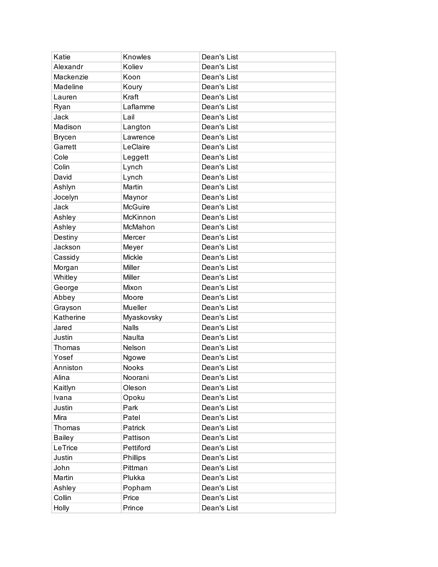| Katie         | Knowles        | Dean's List |
|---------------|----------------|-------------|
| Alexandr      | Koliev         | Dean's List |
| Mackenzie     | Koon           | Dean's List |
| Madeline      | Koury          | Dean's List |
| Lauren        | Kraft          | Dean's List |
| Ryan          | Laflamme       | Dean's List |
| Jack          | Lail           | Dean's List |
| Madison       | Langton        | Dean's List |
| <b>Brycen</b> | Lawrence       | Dean's List |
| Garrett       | LeClaire       | Dean's List |
| Cole          | Leggett        | Dean's List |
| Colin         | Lynch          | Dean's List |
| David         | Lynch          | Dean's List |
| Ashlyn        | Martin         | Dean's List |
| Jocelyn       | Maynor         | Dean's List |
| Jack          | <b>McGuire</b> | Dean's List |
| Ashley        | McKinnon       | Dean's List |
| Ashley        | McMahon        | Dean's List |
| Destiny       | Mercer         | Dean's List |
| Jackson       | Meyer          | Dean's List |
| Cassidy       | <b>Mickle</b>  | Dean's List |
| Morgan        | Miller         | Dean's List |
| Whitley       | Miller         | Dean's List |
| George        | Mixon          | Dean's List |
| Abbey         | Moore          | Dean's List |
| Grayson       | Mueller        | Dean's List |
| Katherine     | Myaskovsky     | Dean's List |
| Jared         | <b>Nalls</b>   | Dean's List |
| Justin        | Naulta         | Dean's List |
| Thomas        | Nelson         | Dean's List |
| Yosef         | Ngowe          | Dean's List |
| Anniston      | <b>Nooks</b>   | Dean's List |
| Alina         | Noorani        | Dean's List |
| Kaitlyn       | Oleson         | Dean's List |
| Ivana         | Opoku          | Dean's List |
| Justin        | Park           | Dean's List |
| Mira          | Patel          | Dean's List |
| Thomas        | Patrick        | Dean's List |
| <b>Bailey</b> | Pattison       | Dean's List |
| LeTrice       | Pettiford      | Dean's List |
| Justin        | Phillips       | Dean's List |
| John          | Pittman        | Dean's List |
| Martin        | Plukka         | Dean's List |
| Ashley        | Popham         | Dean's List |
| Collin        | Price          | Dean's List |
| Holly         | Prince         | Dean's List |